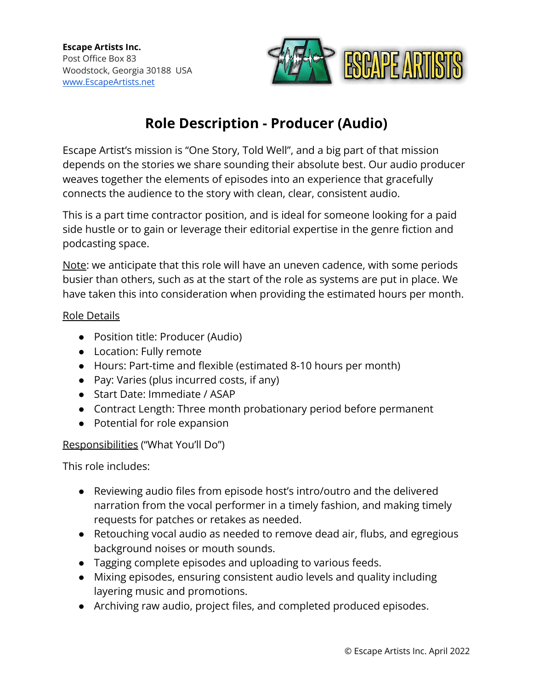

# **Role Description - Producer (Audio)**

Escape Artist's mission is "One Story, Told Well", and a big part of that mission depends on the stories we share sounding their absolute best. Our audio producer weaves together the elements of episodes into an experience that gracefully connects the audience to the story with clean, clear, consistent audio.

This is a part time contractor position, and is ideal for someone looking for a paid side hustle or to gain or leverage their editorial expertise in the genre fiction and podcasting space.

Note: we anticipate that this role will have an uneven cadence, with some periods busier than others, such as at the start of the role as systems are put in place. We have taken this into consideration when providing the estimated hours per month.

#### Role Details

- Position title: Producer (Audio)
- Location: Fully remote
- Hours: Part-time and flexible (estimated 8-10 hours per month)
- Pay: Varies (plus incurred costs, if any)
- Start Date: Immediate / ASAP
- Contract Length: Three month probationary period before permanent
- Potential for role expansion

#### Responsibilities ("What You'll Do")

This role includes:

- Reviewing audio files from episode host's intro/outro and the delivered narration from the vocal performer in a timely fashion, and making timely requests for patches or retakes as needed.
- Retouching vocal audio as needed to remove dead air, flubs, and egregious background noises or mouth sounds.
- Tagging complete episodes and uploading to various feeds.
- Mixing episodes, ensuring consistent audio levels and quality including layering music and promotions.
- Archiving raw audio, project files, and completed produced episodes.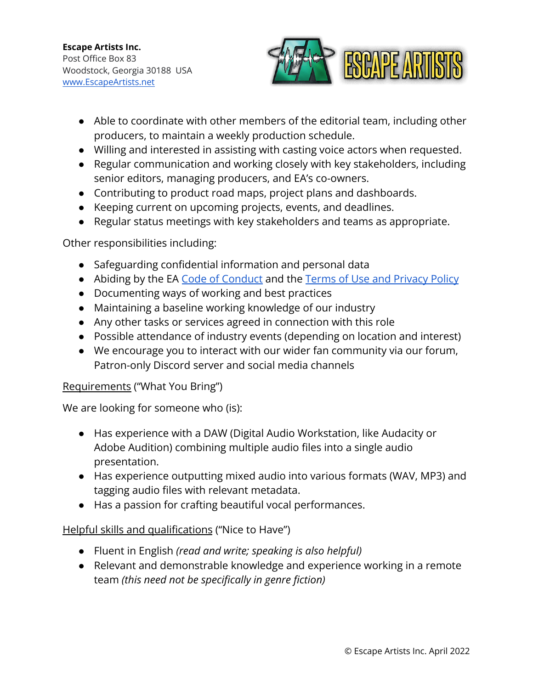

- Able to coordinate with other members of the editorial team, including other producers, to maintain a weekly production schedule.
- Willing and interested in assisting with casting voice actors when requested.
- Regular communication and working closely with key stakeholders, including senior editors, managing producers, and EA's co-owners.
- Contributing to product road maps, project plans and dashboards.
- Keeping current on upcoming projects, events, and deadlines.
- *●* Regular status meetings with key stakeholders and teams as appropriate.

## Other responsibilities including:

- Safeguarding confidential information and personal data
- Abiding by the EA [Code of Conduct](https://escapeartists.net/code-of-conduct/) and the Terms of [Use and Privacy Policy](https://escapeartists.net/about-ea/legal/)
- Documenting ways of working and best practices
- Maintaining a baseline working knowledge of our industry
- Any other tasks or services agreed in connection with this role
- Possible attendance of industry events (depending on location and interest)
- We encourage you to interact with our wider fan community via our forum, Patron-only Discord server and social media channels

## Requirements ("What You Bring")

We are looking for someone who (is):

- Has experience with a DAW (Digital Audio Workstation, like Audacity or Adobe Audition) combining multiple audio files into a single audio presentation.
- Has experience outputting mixed audio into various formats (WAV, MP3) and tagging audio files with relevant metadata.
- Has a passion for crafting beautiful vocal performances.

## Helpful skills and qualifications ("Nice to Have")

- *●* Fluent in English *(read and write; speaking is also helpful)*
- *●* Relevant and demonstrable knowledge and experience working in a remote team *(this need not be specifically in genre fiction)*